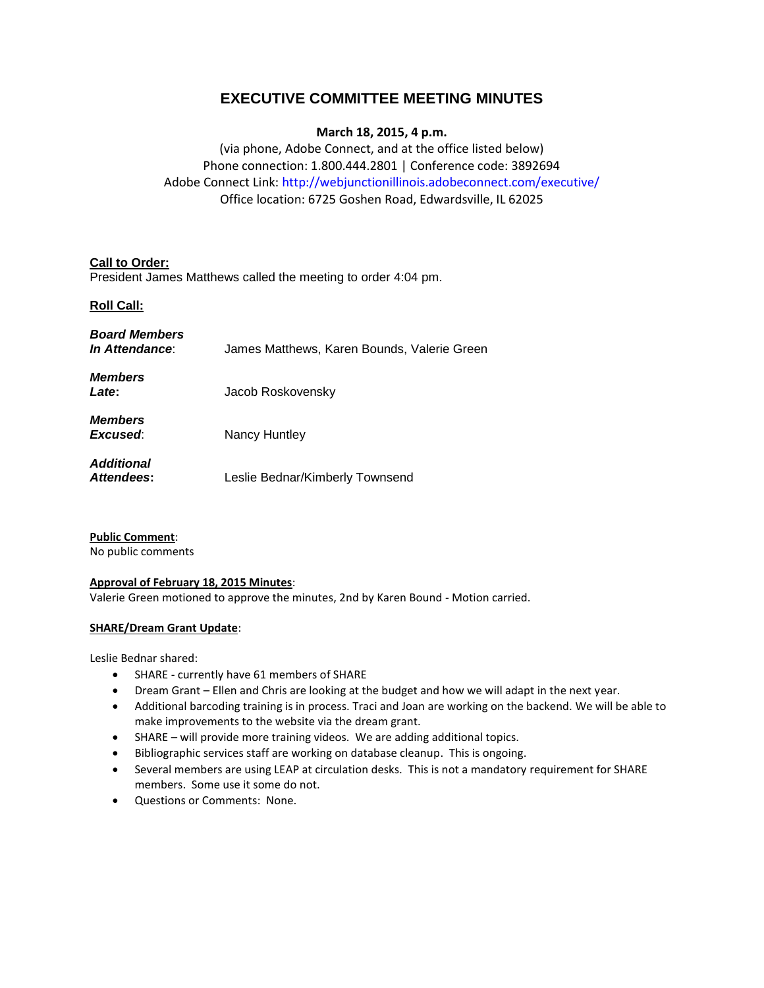# **EXECUTIVE COMMITTEE MEETING MINUTES**

# **March 18, 2015, 4 p.m.**

(via phone, Adobe Connect, and at the office listed below) Phone connection: 1.800.444.2801 | Conference code: 3892694 Adobe Connect Link: http://webjunctionillinois.adobeconnect.com/executive/ Office location: 6725 Goshen Road, Edwardsville, IL 62025

# **Call to Order:**

President James Matthews called the meeting to order 4:04 pm.

# **Roll Call:**

| <b>Board Members</b><br><i>In Attendance:</i> | James Matthews, Karen Bounds, Valerie Green |
|-----------------------------------------------|---------------------------------------------|
| <b>Members</b><br>Late:                       | Jacob Roskovensky                           |
| <b>Members</b><br>Excused:                    | Nancy Huntley                               |
| <b>Additional</b><br><b>Attendees:</b>        | Leslie Bednar/Kimberly Townsend             |

# **Public Comment**:

No public comments

# **Approval of February 18, 2015 Minutes**:

Valerie Green motioned to approve the minutes, 2nd by Karen Bound - Motion carried.

# **SHARE/Dream Grant Update**:

Leslie Bednar shared:

- SHARE currently have 61 members of SHARE
- Dream Grant Ellen and Chris are looking at the budget and how we will adapt in the next year.
- Additional barcoding training is in process. Traci and Joan are working on the backend. We will be able to make improvements to the website via the dream grant.
- SHARE will provide more training videos. We are adding additional topics.
- Bibliographic services staff are working on database cleanup. This is ongoing.
- Several members are using LEAP at circulation desks. This is not a mandatory requirement for SHARE members. Some use it some do not.
- Questions or Comments: None.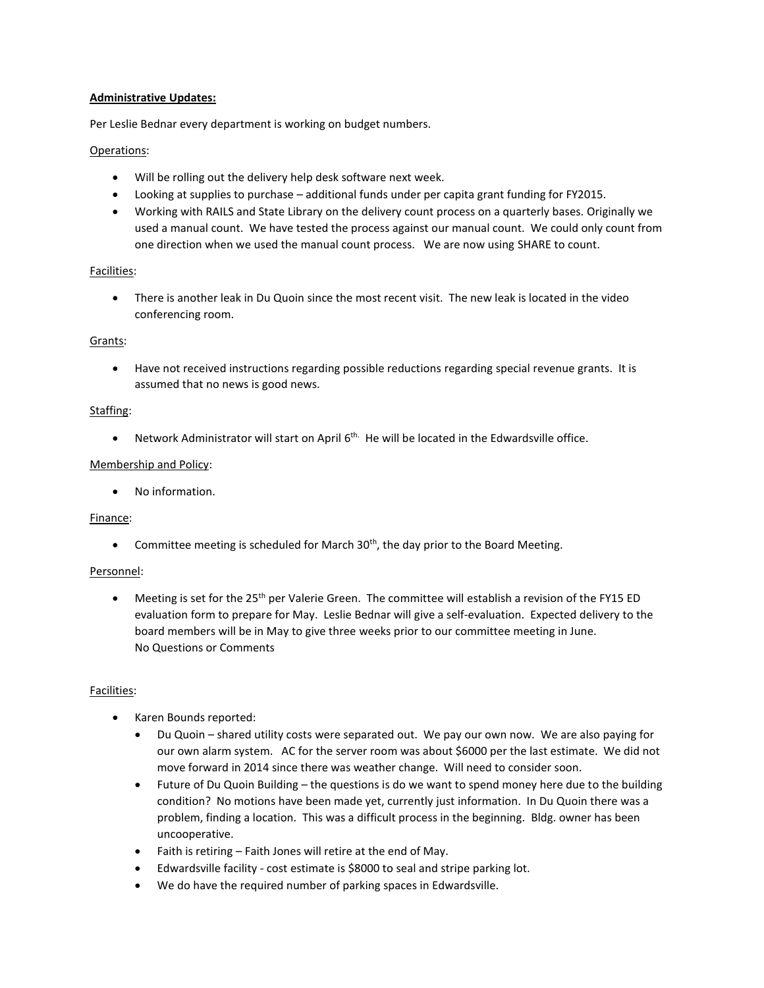### **Administrative Updates:**

Per Leslie Bednar every department is working on budget numbers.

### Operations:

- Will be rolling out the delivery help desk software next week.
- Looking at supplies to purchase additional funds under per capita grant funding for FY2015.
- Working with RAILS and State Library on the delivery count process on a quarterly bases. Originally we used a manual count. We have tested the process against our manual count. We could only count from one direction when we used the manual count process. We are now using SHARE to count.

# Facilities:

 There is another leak in Du Quoin since the most recent visit. The new leak is located in the video conferencing room.

### Grants:

 Have not received instructions regarding possible reductions regarding special revenue grants. It is assumed that no news is good news.

### Staffing:

 $\bullet$  Network Administrator will start on April 6<sup>th.</sup> He will be located in the Edwardsville office.

### Membership and Policy:

No information.

#### Finance:

• Committee meeting is scheduled for March  $30<sup>th</sup>$ , the day prior to the Board Meeting.

#### Personnel:

• Meeting is set for the 25<sup>th</sup> per Valerie Green. The committee will establish a revision of the FY15 ED evaluation form to prepare for May. Leslie Bednar will give a self-evaluation. Expected delivery to the board members will be in May to give three weeks prior to our committee meeting in June. No Questions or Comments

# Facilities:

- Karen Bounds reported:
	- Du Quoin shared utility costs were separated out. We pay our own now. We are also paying for our own alarm system. AC for the server room was about \$6000 per the last estimate. We did not move forward in 2014 since there was weather change. Will need to consider soon.
	- Future of Du Quoin Building the questions is do we want to spend money here due to the building condition? No motions have been made yet, currently just information. In Du Quoin there was a problem, finding a location. This was a difficult process in the beginning. Bldg. owner has been uncooperative.
	- Faith is retiring Faith Jones will retire at the end of May.
	- Edwardsville facility cost estimate is \$8000 to seal and stripe parking lot.
	- We do have the required number of parking spaces in Edwardsville.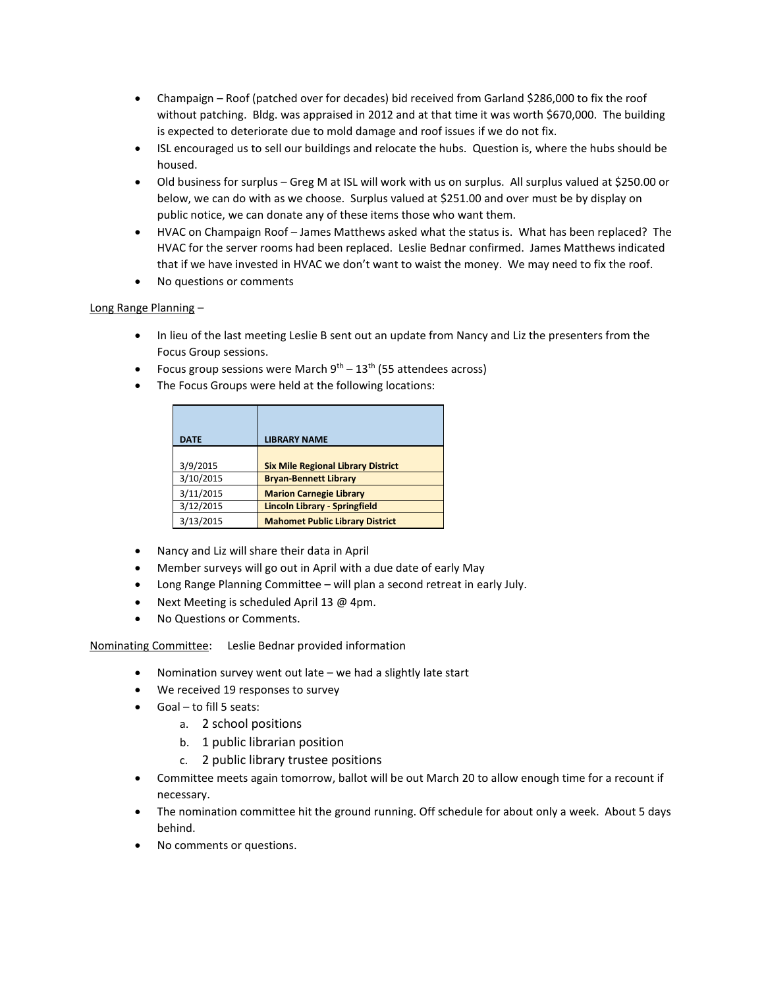- Champaign Roof (patched over for decades) bid received from Garland \$286,000 to fix the roof without patching. Bldg. was appraised in 2012 and at that time it was worth \$670,000. The building is expected to deteriorate due to mold damage and roof issues if we do not fix.
- ISL encouraged us to sell our buildings and relocate the hubs. Question is, where the hubs should be housed.
- Old business for surplus Greg M at ISL will work with us on surplus. All surplus valued at \$250.00 or below, we can do with as we choose. Surplus valued at \$251.00 and over must be by display on public notice, we can donate any of these items those who want them.
- HVAC on Champaign Roof James Matthews asked what the status is. What has been replaced? The HVAC for the server rooms had been replaced. Leslie Bednar confirmed. James Matthews indicated that if we have invested in HVAC we don't want to waist the money. We may need to fix the roof.
- No questions or comments

# Long Range Planning –

- In lieu of the last meeting Leslie B sent out an update from Nancy and Liz the presenters from the Focus Group sessions.
- Focus group sessions were March  $9^{th}$   $13^{th}$  (55 attendees across)
- The Focus Groups were held at the following locations:

| <b>DATE</b> | <b>LIBRARY NAME</b>                       |
|-------------|-------------------------------------------|
| 3/9/2015    | <b>Six Mile Regional Library District</b> |
| 3/10/2015   | <b>Bryan-Bennett Library</b>              |
| 3/11/2015   | <b>Marion Carnegie Library</b>            |
| 3/12/2015   | <b>Lincoln Library - Springfield</b>      |
| 3/13/2015   | <b>Mahomet Public Library District</b>    |

- Nancy and Liz will share their data in April
- Member surveys will go out in April with a due date of early May
- Long Range Planning Committee will plan a second retreat in early July.
- Next Meeting is scheduled April 13 @ 4pm.
- No Questions or Comments.

Nominating Committee: Leslie Bednar provided information

- Nomination survey went out late we had a slightly late start
- We received 19 responses to survey
- Goal to fill 5 seats:
	- a. 2 school positions
	- b. 1 public librarian position
	- c. 2 public library trustee positions
- Committee meets again tomorrow, ballot will be out March 20 to allow enough time for a recount if necessary.
- The nomination committee hit the ground running. Off schedule for about only a week. About 5 days behind.
- No comments or questions.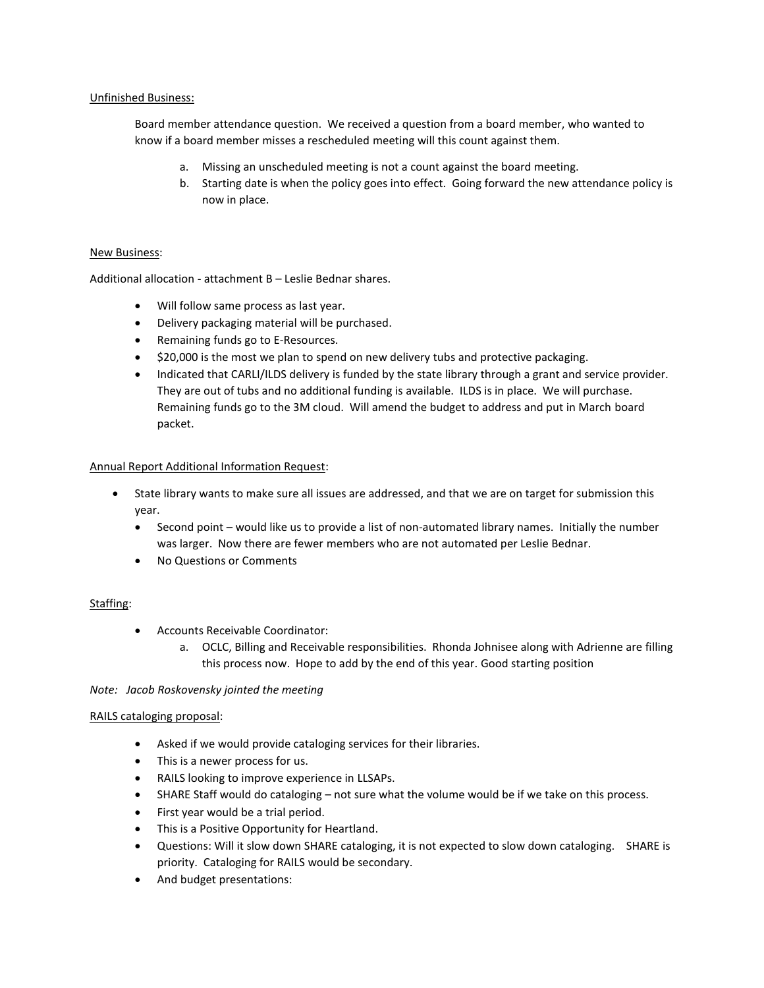### Unfinished Business:

Board member attendance question. We received a question from a board member, who wanted to know if a board member misses a rescheduled meeting will this count against them.

- a. Missing an unscheduled meeting is not a count against the board meeting.
- b. Starting date is when the policy goes into effect. Going forward the new attendance policy is now in place.

### New Business:

Additional allocation - attachment B – Leslie Bednar shares.

- Will follow same process as last year.
- Delivery packaging material will be purchased.
- Remaining funds go to E-Resources.
- \$20,000 is the most we plan to spend on new delivery tubs and protective packaging.
- Indicated that CARLI/ILDS delivery is funded by the state library through a grant and service provider. They are out of tubs and no additional funding is available. ILDS is in place. We will purchase. Remaining funds go to the 3M cloud. Will amend the budget to address and put in March board packet.

### Annual Report Additional Information Request:

- State library wants to make sure all issues are addressed, and that we are on target for submission this year.
	- Second point would like us to provide a list of non-automated library names. Initially the number was larger. Now there are fewer members who are not automated per Leslie Bednar.
	- No Questions or Comments

# Staffing:

- Accounts Receivable Coordinator:
	- a. OCLC, Billing and Receivable responsibilities. Rhonda Johnisee along with Adrienne are filling this process now. Hope to add by the end of this year. Good starting position

#### *Note: Jacob Roskovensky jointed the meeting*

#### RAILS cataloging proposal:

- Asked if we would provide cataloging services for their libraries.
- This is a newer process for us.
- RAILS looking to improve experience in LLSAPs.
- SHARE Staff would do cataloging not sure what the volume would be if we take on this process.
- First year would be a trial period.
- This is a Positive Opportunity for Heartland.
- Questions: Will it slow down SHARE cataloging, it is not expected to slow down cataloging. SHARE is priority. Cataloging for RAILS would be secondary.
- And budget presentations: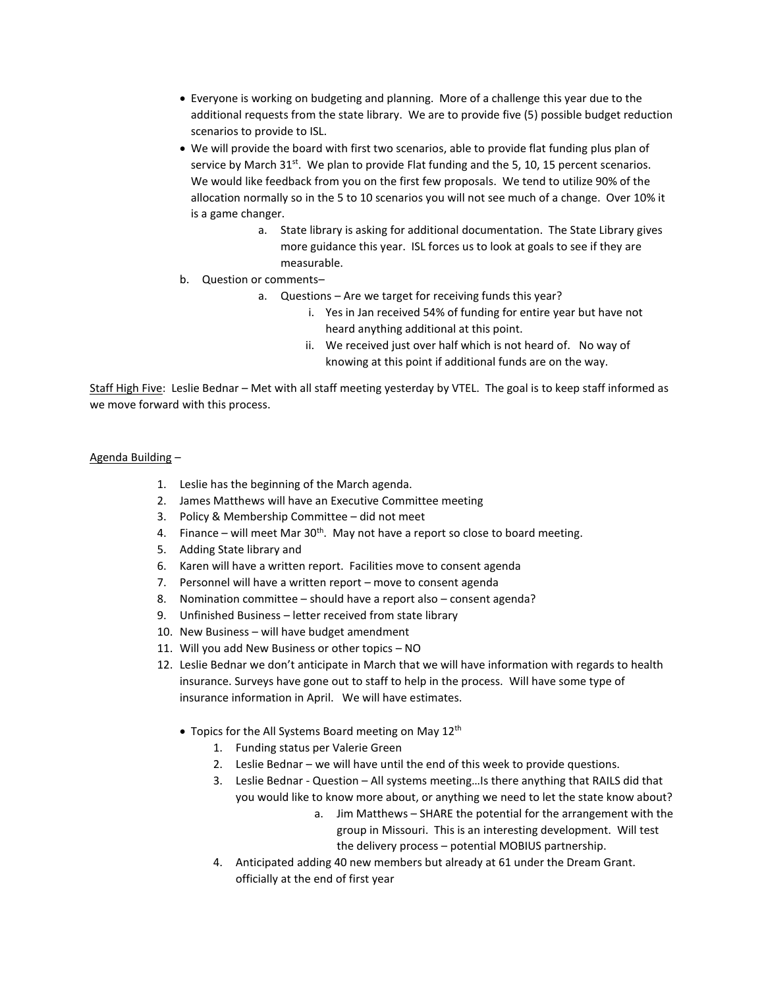- Everyone is working on budgeting and planning. More of a challenge this year due to the additional requests from the state library. We are to provide five (5) possible budget reduction scenarios to provide to ISL.
- We will provide the board with first two scenarios, able to provide flat funding plus plan of service by March 31<sup>st</sup>. We plan to provide Flat funding and the 5, 10, 15 percent scenarios. We would like feedback from you on the first few proposals. We tend to utilize 90% of the allocation normally so in the 5 to 10 scenarios you will not see much of a change. Over 10% it is a game changer.
	- a. State library is asking for additional documentation. The State Library gives more guidance this year. ISL forces us to look at goals to see if they are measurable.
- b. Question or comments–
	- a. Questions Are we target for receiving funds this year?
		- i. Yes in Jan received 54% of funding for entire year but have not heard anything additional at this point.
		- ii. We received just over half which is not heard of. No way of knowing at this point if additional funds are on the way.

Staff High Five: Leslie Bednar – Met with all staff meeting yesterday by VTEL. The goal is to keep staff informed as we move forward with this process.

# Agenda Building –

- 1. Leslie has the beginning of the March agenda.
- 2. James Matthews will have an Executive Committee meeting
- 3. Policy & Membership Committee did not meet
- 4. Finance will meet Mar  $30<sup>th</sup>$ . May not have a report so close to board meeting.
- 5. Adding State library and
- 6. Karen will have a written report. Facilities move to consent agenda
- 7. Personnel will have a written report move to consent agenda
- 8. Nomination committee should have a report also consent agenda?
- 9. Unfinished Business letter received from state library
- 10. New Business will have budget amendment
- 11. Will you add New Business or other topics NO
- 12. Leslie Bednar we don't anticipate in March that we will have information with regards to health insurance. Surveys have gone out to staff to help in the process. Will have some type of insurance information in April. We will have estimates.
	- Topics for the All Systems Board meeting on May 12<sup>th</sup>
		- 1. Funding status per Valerie Green
		- 2. Leslie Bednar we will have until the end of this week to provide questions.
		- 3. Leslie Bednar Question All systems meeting…Is there anything that RAILS did that you would like to know more about, or anything we need to let the state know about?
			- a. Jim Matthews SHARE the potential for the arrangement with the group in Missouri. This is an interesting development. Will test the delivery process – potential MOBIUS partnership.
		- 4. Anticipated adding 40 new members but already at 61 under the Dream Grant. officially at the end of first year